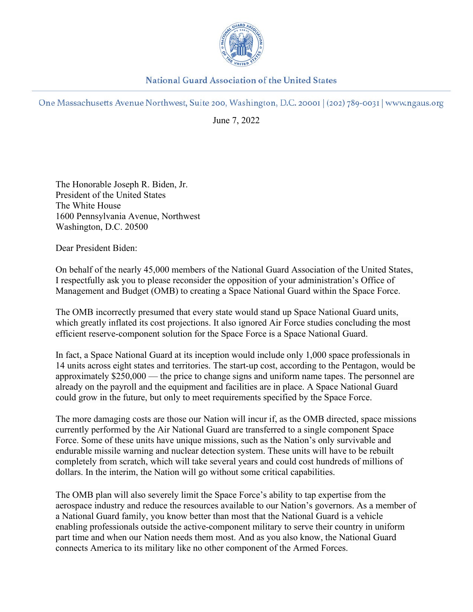

**National Guard Association of the United States** 

One Massachusetts Avenue Northwest, Suite 200, Washington, D.C. 20001 (202) 789-0031 | www.ngaus.org

June 7, 2022

The Honorable Joseph R. Biden, Jr. President of the United States The White House 1600 Pennsylvania Avenue, Northwest Washington, D.C. 20500

Dear President Biden:

On behalf of the nearly 45,000 members of the National Guard Association of the United States, I respectfully ask you to please reconsider the opposition of your administration's Office of Management and Budget (OMB) to creating a Space National Guard within the Space Force.

The OMB incorrectly presumed that every state would stand up Space National Guard units, which greatly inflated its cost projections. It also ignored Air Force studies concluding the most efficient reserve-component solution for the Space Force is a Space National Guard.

In fact, a Space National Guard at its inception would include only 1,000 space professionals in 14 units across eight states and territories. The start-up cost, according to the Pentagon, would be approximately \$250,000 — the price to change signs and uniform name tapes. The personnel are already on the payroll and the equipment and facilities are in place. A Space National Guard could grow in the future, but only to meet requirements specified by the Space Force.

The more damaging costs are those our Nation will incur if, as the OMB directed, space missions currently performed by the Air National Guard are transferred to a single component Space Force. Some of these units have unique missions, such as the Nation's only survivable and endurable missile warning and nuclear detection system. These units will have to be rebuilt completely from scratch, which will take several years and could cost hundreds of millions of dollars. In the interim, the Nation will go without some critical capabilities.

The OMB plan will also severely limit the Space Force's ability to tap expertise from the aerospace industry and reduce the resources available to our Nation's governors. As a member of a National Guard family, you know better than most that the National Guard is a vehicle enabling professionals outside the active-component military to serve their country in uniform part time and when our Nation needs them most. And as you also know, the National Guard connects America to its military like no other component of the Armed Forces.